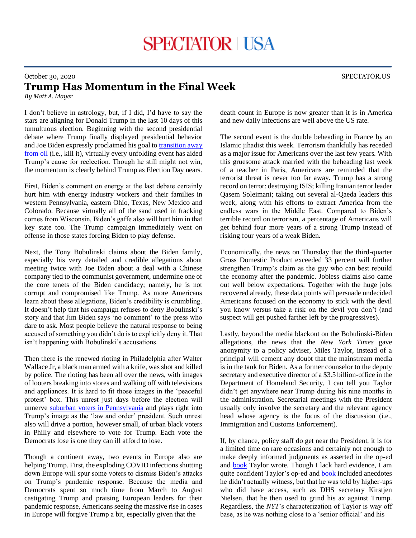## October 30, 2020 SPECTATOR.US **Trump Has Momentum in the Final Week**

*By Matt A. Mayer*

I don't believe in astrology, but, if I did, I'd have to say the stars are aligning for Donald Trump in the last 10 days of this tumultuous election. Beginning with the second presidential debate where Trump finally displayed presidential behavior and Joe Biden expressly proclaimed his goal to [transition away](https://apnews.com/article/election-2020-joe-biden-donald-trump-technology-climate-26908b855045d5ce7342fd01be8bcc10)  [from oil](https://apnews.com/article/election-2020-joe-biden-donald-trump-technology-climate-26908b855045d5ce7342fd01be8bcc10) (i.e., kill it), virtually every unfolding event has aided Trump's cause for reelection. Though he still might not win, the momentum is clearly behind Trump as Election Day nears.

First, Biden's comment on energy at the last debate certainly hurt him with energy industry workers and their families in western Pennsylvania, eastern Ohio, Texas, New Mexico and Colorado. Because virtually all of the sand used in fracking comes from Wisconsin, Biden's gaffe also will hurt him in that key state too. The Trump campaign immediately went on offense in those states forcing Biden to play defense.

Next, the Tony Bobulinski claims about the Biden family, especially his very detailed and credible allegations about meeting twice with Joe Biden about a deal with a Chinese company tied to the communist government, undermine one of the core tenets of the Biden candidacy; namely, he is not corrupt and compromised like Trump. As more Americans learn about these allegations, Biden's credibility is crumbling. It doesn't help that his campaign refuses to deny Bobulinski's story and that Jim Biden says 'no comment' to the press who dare to ask. Most people believe the natural response to being accused of something you didn't do is to explicitly deny it. That isn't happening with Bobulinski's accusations.

Then there is the renewed rioting in Philadelphia after Walter Wallace Jr, a black man armed with a knife, was shot and killed by police. The rioting has been all over the news, with images of looters breaking into stores and walking off with televisions and appliances. It is hard to fit those images in the 'peaceful protest' box. This unrest just days before the election will unnerve [suburban voters in Pennsylvania](https://spectator.us/philadelphia-riots-looting-police-election-trump-biden/) and plays right into Trump's image as the 'law and order' president. Such unrest also will drive a portion, however small, of urban black voters in Philly and elsewhere to vote for Trump. Each vote the Democrats lose is one they can ill afford to lose.

Though a continent away, two events in Europe also are helping Trump. First, the exploding COVID infections shutting down Europe will spur some voters to dismiss Biden's attacks on Trump's pandemic response. Because the media and Democrats spent so much time from March to August castigating Trump and praising European leaders for their pandemic response, Americans seeing the massive rise in cases in Europe will forgive Trump a bit, especially given that the

death count in Europe is now greater than it is in America and new daily infections are well above the US rate.

The second event is the double beheading in France by an Islamic jihadist this week. Terrorism thankfully has receded as a major issue for Americans over the last few years. With this gruesome attack married with the beheading last week of a teacher in Paris, Americans are reminded that the terrorist threat is never too far away. Trump has a strong record on terror: destroying ISIS; killing Iranian terror leader Qasem Soleimani; taking out several al-Qaeda leaders this week, along with his efforts to extract America from the endless wars in the Middle East. Compared to Biden's terrible record on terrorism, a percentage of Americans will get behind four more years of a strong Trump instead of risking four years of a weak Biden.

Economically, the news on Thursday that the third-quarter Gross Domestic Product exceeded 33 percent will further strengthen Trump's claim as the guy who can best rebuild the economy after the pandemic. Jobless claims also came out well below expectations. Together with the huge jobs recovered already, these data points will persuade undecided Americans focused on the economy to stick with the devil you know versus take a risk on the devil you don't (and suspect will get pushed farther left by the progressives).

Lastly, beyond the media blackout on the Bobulinski-Biden allegations, the news that the *New York Times* gave anonymity to a policy adviser, Miles Taylor, instead of a principal will cement any doubt that the mainstream media is in the tank for Biden. As a former counselor to the deputy secretary and executive director of a \$3.5 billion-office in the Department of Homeland Security, I can tell you Taylor didn't get anywhere near Trump during his nine months in the administration. Secretarial meetings with the President usually only involve the secretary and the relevant agency head whose agency is the focus of the discussion (i.e., Immigration and Customs Enforcement).

If, by chance, policy staff do get near the President, it is for a limited time on rare occasions and certainly not enough to make deeply informed judgments as asserted in the op-ed and **book** Taylor wrote. Though I lack hard evidence, I am quite confident Taylor's op-ed and **book** included anecdotes he didn't actually witness, but that he was told by higher-ups who did have access, such as DHS secretary Kirstjen Nielsen, that he then used to grind his ax against Trump. Regardless, the *NYT*'s characterization of Taylor is way off base, as he was nothing close to a 'senior official' and his